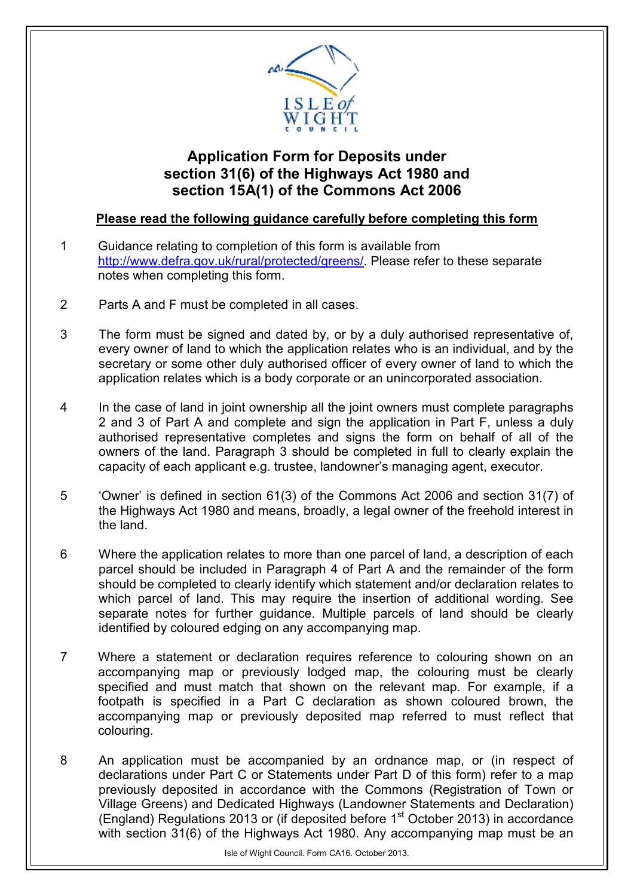

#### **Application Form for Deposits under section 31(6) of the Highways Act 1980 and section 15A(1) of the Commons Act 2006**

#### **Please read the following guidance carefully before completing this form**

- 1 Guidance relating to completion of this form is available from http://www.defra.gov.uk/rural/protected/greens/. Please refer to these separate notes when completing this form.
- 2 Parts A and F must be completed in all cases.
- 3 The form must be signed and dated by, or by a duly authorised representative of, every owner of land to which the application relates who is an individual, and by the secretary or some other duly authorised officer of every owner of land to which the application relates which is a body corporate or an unincorporated association.
- 4 In the case of land in joint ownership all the joint owners must complete paragraphs 2 and 3 of Part A and complete and sign the application in Part F, unless a duly authorised representative completes and signs the form on behalf of all of the owners of the land. Paragraph 3 should be completed in full to clearly explain the capacity of each applicant e.g. trustee, landowner's managing agent, executor.
- 5 'Owner' is defined in section 61(3) of the Commons Act 2006 and section 31(7) of the Highways Act 1980 and means, broadly, a legal owner of the freehold interest in the land.
- 6 Where the application relates to more than one parcel of land, a description of each parcel should be included in Paragraph 4 of Part A and the remainder of the form should be completed to clearly identify which statement and/or declaration relates to which parcel of land. This may require the insertion of additional wording. See separate notes for further guidance. Multiple parcels of land should be clearly identified by coloured edging on any accompanying map.
- 7 Where a statement or declaration requires reference to colouring shown on an accompanying map or previously lodged map, the colouring must be clearly specified and must match that shown on the relevant map. For example, if a footpath is specified in a Part C declaration as shown coloured brown, the accompanying map or previously deposited map referred to must reflect that colouring.
- 8 An application must be accompanied by an ordnance map, or (in respect of declarations under Part C or Statements under Part D of this form) refer to a map previously deposited in accordance with the Commons (Registration of Town or Village Greens) and Dedicated Highways (Landowner Statements and Declaration) (England) Regulations 2013 or (if deposited before 1<sup>st</sup> October 2013) in accordance with section 31(6) of the Highways Act 1980. Any accompanying map must be an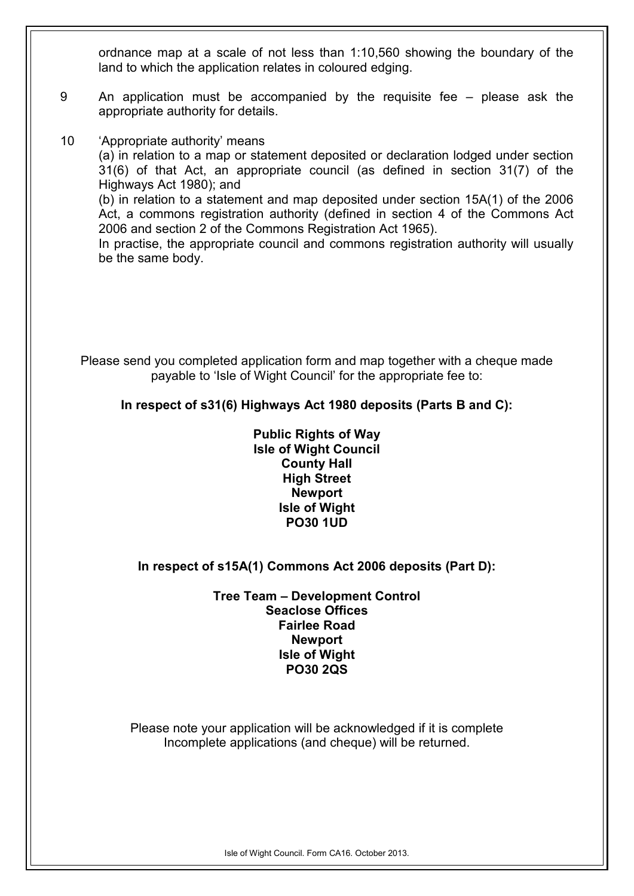ordnance map at a scale of not less than 1:10,560 showing the boundary of the land to which the application relates in coloured edging.

- 9 An application must be accompanied by the requisite fee please ask the appropriate authority for details.
- 10 'Appropriate authority' means

(a) in relation to a map or statement deposited or declaration lodged under section 31(6) of that Act, an appropriate council (as defined in section 31(7) of the Highways Act 1980); and

(b) in relation to a statement and map deposited under section 15A(1) of the 2006 Act, a commons registration authority (defined in section 4 of the Commons Act 2006 and section 2 of the Commons Registration Act 1965).

In practise, the appropriate council and commons registration authority will usually be the same body.

Please send you completed application form and map together with a cheque made payable to 'Isle of Wight Council' for the appropriate fee to:

**In respect of s31(6) Highways Act 1980 deposits (Parts B and C):** 

**Public Rights of Way Isle of Wight Council County Hall High Street Newport Isle of Wight PO30 1UD** 

**In respect of s15A(1) Commons Act 2006 deposits (Part D):** 

**Tree Team – Development Control Seaclose Offices Fairlee Road Newport Isle of Wight PO30 2QS** 

Please note your application will be acknowledged if it is complete Incomplete applications (and cheque) will be returned.

Isle of Wight Council. Form CA16. October 2013.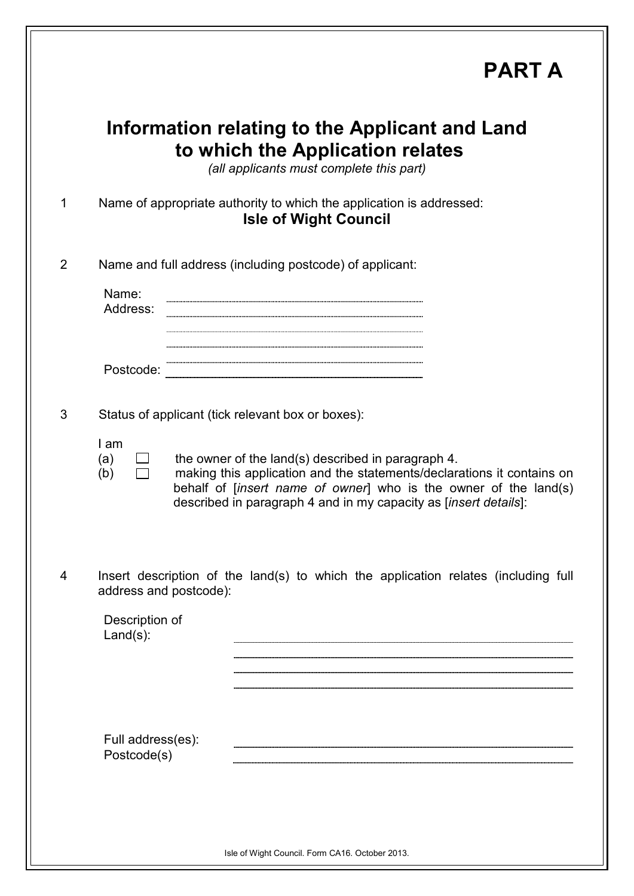|                                                                                                                                | <b>PART A</b>                                                                                                                                                                                                                                                                                                                                           |  |  |  |  |  |  |
|--------------------------------------------------------------------------------------------------------------------------------|---------------------------------------------------------------------------------------------------------------------------------------------------------------------------------------------------------------------------------------------------------------------------------------------------------------------------------------------------------|--|--|--|--|--|--|
| Information relating to the Applicant and Land<br>to which the Application relates<br>(all applicants must complete this part) |                                                                                                                                                                                                                                                                                                                                                         |  |  |  |  |  |  |
| 1                                                                                                                              | Name of appropriate authority to which the application is addressed:<br><b>Isle of Wight Council</b>                                                                                                                                                                                                                                                    |  |  |  |  |  |  |
| $\overline{2}$                                                                                                                 | Name and full address (including postcode) of applicant:<br>Name:<br>Address:                                                                                                                                                                                                                                                                           |  |  |  |  |  |  |
|                                                                                                                                | Postcode:                                                                                                                                                                                                                                                                                                                                               |  |  |  |  |  |  |
| 3                                                                                                                              | Status of applicant (tick relevant box or boxes):<br>I am<br>the owner of the land(s) described in paragraph 4.<br>(a)<br>making this application and the statements/declarations it contains on<br>(b)<br>behalf of <i>[insert name of owner</i> ] who is the owner of the land(s)<br>described in paragraph 4 and in my capacity as [insert details]: |  |  |  |  |  |  |
| 4                                                                                                                              | Insert description of the land(s) to which the application relates (including full<br>address and postcode):<br>Description of<br>$Land(s)$ :                                                                                                                                                                                                           |  |  |  |  |  |  |
|                                                                                                                                | Full address(es):<br>Postcode(s)<br>Isle of Wight Council. Form CA16. October 2013.                                                                                                                                                                                                                                                                     |  |  |  |  |  |  |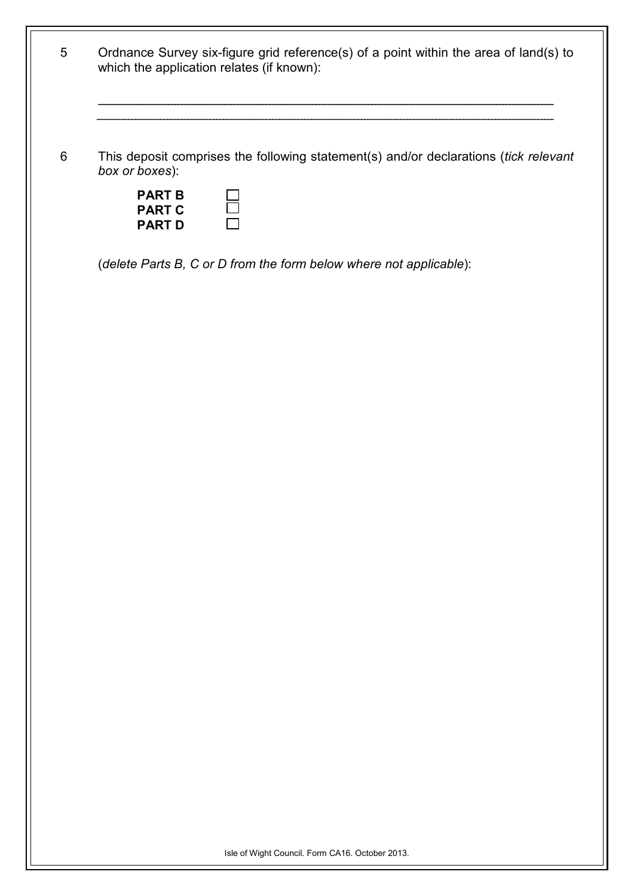| 5              | Ordnance Survey six-figure grid reference(s) of a point within the area of land(s) to<br>which the application relates (if known): |  |  |  |  |
|----------------|------------------------------------------------------------------------------------------------------------------------------------|--|--|--|--|
|                |                                                                                                                                    |  |  |  |  |
| $6\phantom{1}$ | This deposit comprises the following statement(s) and/or declarations (tick relevant<br>box or boxes):                             |  |  |  |  |
|                | <b>PART B</b><br><b>PART C</b><br><b>PART D</b>                                                                                    |  |  |  |  |
|                | (delete Parts B, C or D from the form below where not applicable):                                                                 |  |  |  |  |
|                |                                                                                                                                    |  |  |  |  |
|                |                                                                                                                                    |  |  |  |  |
|                |                                                                                                                                    |  |  |  |  |
|                |                                                                                                                                    |  |  |  |  |
|                |                                                                                                                                    |  |  |  |  |
|                |                                                                                                                                    |  |  |  |  |
|                |                                                                                                                                    |  |  |  |  |
|                |                                                                                                                                    |  |  |  |  |
|                |                                                                                                                                    |  |  |  |  |
|                |                                                                                                                                    |  |  |  |  |
|                |                                                                                                                                    |  |  |  |  |
|                |                                                                                                                                    |  |  |  |  |
|                |                                                                                                                                    |  |  |  |  |
|                |                                                                                                                                    |  |  |  |  |
|                | Isle of Wight Council. Form CA16. October 2013.                                                                                    |  |  |  |  |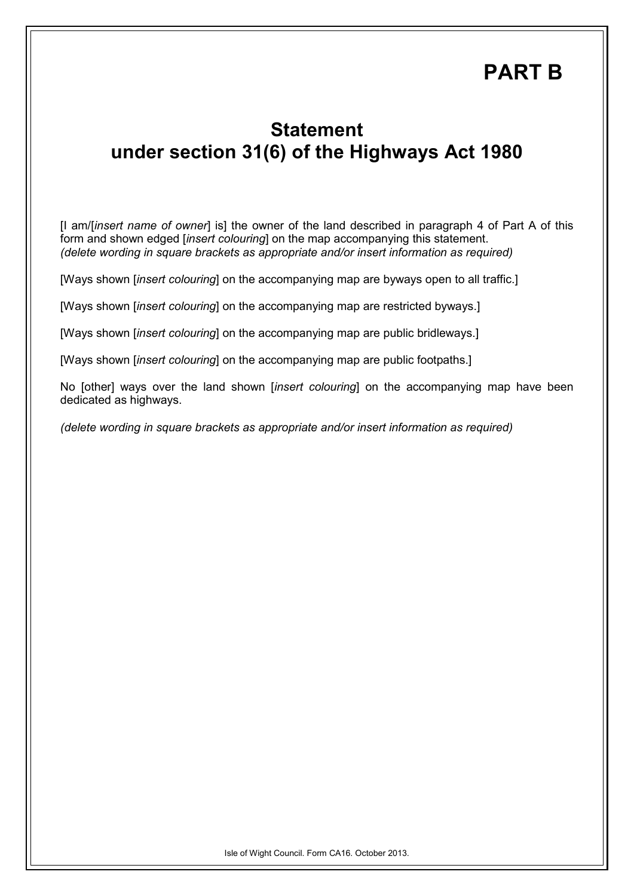### **PART B**

### **Statement under section 31(6) of the Highways Act 1980**

[I am/[*insert name of owner*] is] the owner of the land described in paragraph 4 of Part A of this form and shown edged [*insert colouring*] on the map accompanying this statement. *(delete wording in square brackets as appropriate and/or insert information as required)* 

[Ways shown [*insert colouring*] on the accompanying map are byways open to all traffic.]

[Ways shown [*insert colouring*] on the accompanying map are restricted byways.]

[Ways shown [*insert colouring*] on the accompanying map are public bridleways.]

[Ways shown [*insert colouring*] on the accompanying map are public footpaths.]

No [other] ways over the land shown [*insert colouring*] on the accompanying map have been dedicated as highways.

*(delete wording in square brackets as appropriate and/or insert information as required)*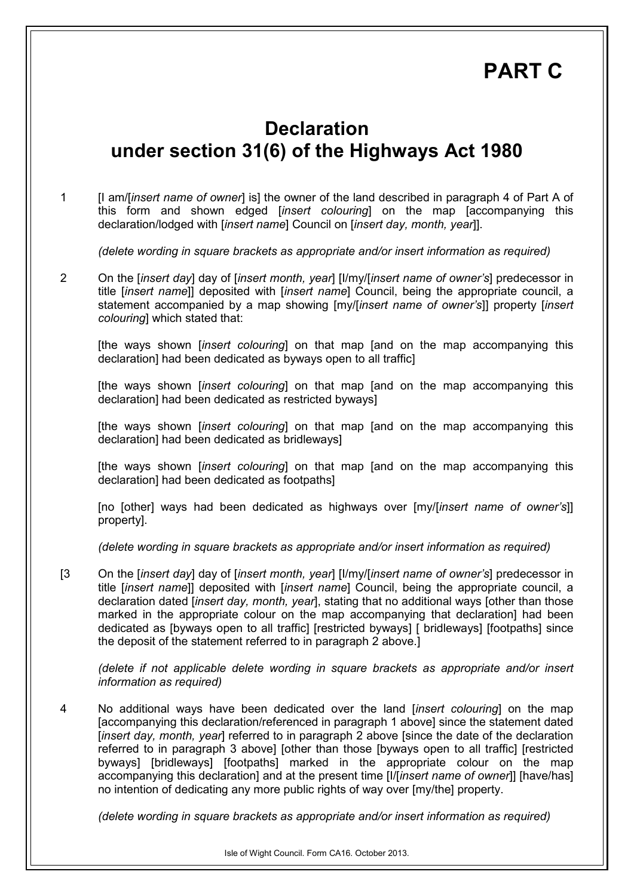## **PART C**

### **Declaration under section 31(6) of the Highways Act 1980**

1 [I am/[*insert name of owner*] is] the owner of the land described in paragraph 4 of Part A of this form and shown edged [*insert colouring*] on the map [accompanying this declaration/lodged with [*insert name*] Council on [*insert day, month, year*]].

*(delete wording in square brackets as appropriate and/or insert information as required)* 

2 On the [*insert day*] day of [*insert month, year*] [I/my/[*insert name of owner's*] predecessor in title [*insert name*]] deposited with [*insert name*] Council, being the appropriate council, a statement accompanied by a map showing [my/[*insert name of owner's*]] property [*insert colouring*] which stated that:

[the ways shown [*insert colouring*] on that map [and on the map accompanying this declaration] had been dedicated as byways open to all traffic]

[the ways shown [*insert colouring*] on that map [and on the map accompanying this declaration] had been dedicated as restricted byways]

[the ways shown [*insert colouring*] on that map [and on the map accompanying this declaration] had been dedicated as bridleways]

[the ways shown [*insert colouring*] on that map [and on the map accompanying this declaration] had been dedicated as footpaths]

[no [other] ways had been dedicated as highways over [my/[*insert name of owner's*]] property].

*(delete wording in square brackets as appropriate and/or insert information as required)* 

[3 On the [*insert day*] day of [*insert month, year*] [I/my/[*insert name of owner's*] predecessor in title [*insert name*]] deposited with [*insert name*] Council, being the appropriate council, a declaration dated [*insert day, month, year*], stating that no additional ways [other than those marked in the appropriate colour on the map accompanying that declaration] had been dedicated as [byways open to all traffic] [restricted byways] [ bridleways] [footpaths] since the deposit of the statement referred to in paragraph 2 above.]

*(delete if not applicable delete wording in square brackets as appropriate and/or insert information as required)* 

4 No additional ways have been dedicated over the land [*insert colouring*] on the map [accompanying this declaration/referenced in paragraph 1 above] since the statement dated [*insert day, month, year*] referred to in paragraph 2 above [since the date of the declaration referred to in paragraph 3 above] [other than those [byways open to all traffic] [restricted byways] [bridleways] [footpaths] marked in the appropriate colour on the map accompanying this declaration] and at the present time [I/[*insert name of owner*]] [have/has] no intention of dedicating any more public rights of way over [my/the] property.

*(delete wording in square brackets as appropriate and/or insert information as required)*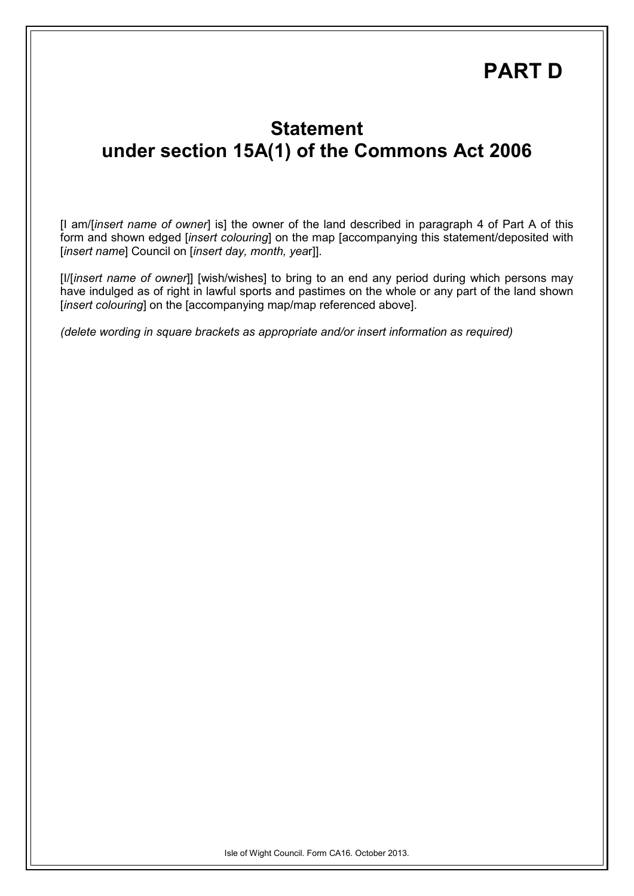### **PART D**

### **Statement under section 15A(1) of the Commons Act 2006**

[I am/[*insert name of owner*] is] the owner of the land described in paragraph 4 of Part A of this form and shown edged [*insert colouring*] on the map [accompanying this statement/deposited with [*insert name*] Council on [*insert day, month, yea*r]].

[I/[*insert name of owner*]] [wish/wishes] to bring to an end any period during which persons may have indulged as of right in lawful sports and pastimes on the whole or any part of the land shown [*insert colouring*] on the [accompanying map/map referenced above].

*(delete wording in square brackets as appropriate and/or insert information as required)*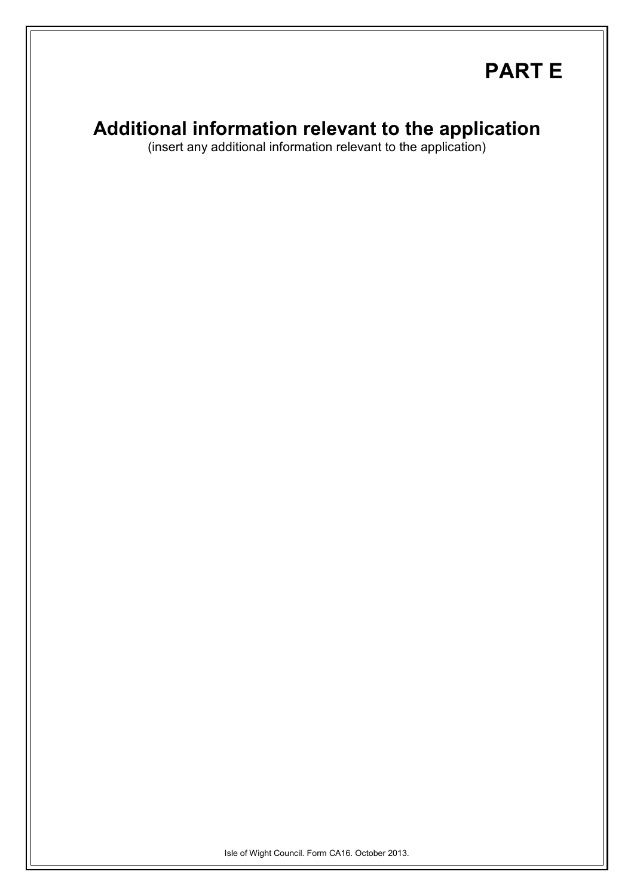# **PART E**

### **Additional information relevant to the application**

(insert any additional information relevant to the application)

Isle of Wight Council. Form CA16. October 2013.